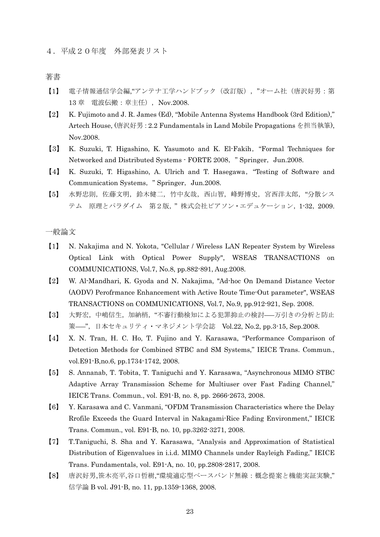4.平成20年度 外部発表リスト

著書

- 【1】 電子情報通信学会編,"アンテナ工学ハンドブック(改訂版),"オーム社(唐沢好男:第 13 章 電波伝搬:章主任),Nov.2008.
- 【2】 K. Fujimoto and J. R. James (Ed), "Mobile Antenna Systems Handbook (3rd Edition)," Artech House, (唐沢好男:2.2 Fundamentals in Land Mobile Propagations を担当執筆), Nov.2008.
- 【3】 K. Suzuki, T. Higashino, K. Yasumoto and K. El-Fakih,"Formal Techniques for Networked and Distributed Systems · FORTE 2008, "Springer, Jun.2008.
- 【4】 K. Suzuki, T. Higashino, A. Ulrich and T. Hasegawa,"Testing of Software and Communication Systems, "Springer, Jun.2008.
- 【5】 水野忠則,佐藤文明,鈴木健二,竹中友哉,西山智,峰野博史,宮西洋太郎,"分散シス テム 原理とパラダイム 第2版," 株式会社ピアソン・エデュケーション,1-32,2009.

一般論文

- 【1】 N. Nakajima and N. Yokota, "Cellular / Wireless LAN Repeater System by Wireless Optical Link with Optical Power Supply", WSEAS TRANSACTIONS on COMMUNICATIONS, Vol.7, No.8, pp.882-891, Aug.2008.
- 【2】 W. Al-Mandhari, K. Gyoda and N. Nakajima, "Ad-hoc On Demand Distance Vector (AODV) Perofrmance Enhancement with Active Route Time-Out parameter", WSEAS TRANSACTIONS on COMMUNICATIONS, Vol.7, No.9, pp.912-921, Sep. 2008.
- 【3】 大野宏,中嶋信生,加納梢,"不審行動検知による犯罪抑止の検討――万引きの分析と防止 策――",日本セキュリティ・マネジメント学会誌 Vol.22, No.2, pp.3-15, Sep.2008.
- 【4】 X. N. Tran, H. C. Ho, T. Fujino and Y. Karasawa, "Performance Comparison of Detection Methods for Combined STBC and SM Systems," IEICE Trans. Commun., vol.E91-B,no.6, pp.1734-1742, 2008.
- 【5】 S. Annanab, T. Tobita, T. Taniguchi and Y. Karasawa, "Asynchronous MIMO STBC Adaptive Array Transmission Scheme for Multiuser over Fast Fading Channel," IEICE Trans. Commun., vol. E91-B, no. 8, pp. 2666-2673, 2008.
- 【6】 Y. Karasawa and C. Vanmani, "OFDM Transmission Characteristics where the Delay Rrofile Exceeds the Guard Interval in Nakagami-Rice Fading Environment," IEICE Trans. Commun., vol. E91-B, no. 10, pp.3262-3271, 2008.
- 【7】 T.Taniguchi, S. Sha and Y. Karasawa, "Analysis and Approximation of Statistical Distribution of Eigenvalues in i.i.d. MIMO Channels under Rayleigh Fading," IEICE Trans. Fundamentals, vol. E91-A, no. 10, pp.2808-2817, 2008.
- 【8】 唐沢好男,笹木亮平,谷口哲樹,"環境適応型ベースバンド無線:概念提案と機能実証実験," 信学論 B vol. J91-B, no. 11, pp.1359-1368, 2008.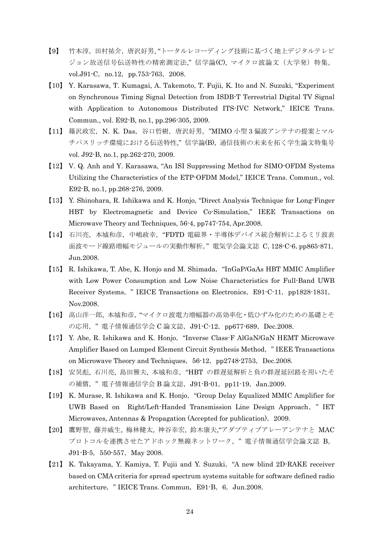- 【9】 竹本淳,田村祐介,唐沢好男, "トータルレコーディング技術に基づく地上デジタルテレビ ジョン放送信号伝送特性の精密測定法," 信学論(C), マイクロ波論文(大学発)特集, vol.J91-C, no.12, pp.753-763, 2008.
- 【10】 Y. Karasawa, T. Kumagai, A. Takemoto, T. Fujii, K. Ito and N. Suzuki, "Experiment on Synchronous Timing Signal Detection from ISDB-T Terrestrial Digital TV Signal with Application to Autonomous Distributed ITS-IVC Network," IEICE Trans. Commun., vol. E92-B, no.1, pp.296-305, 2009.
- 【11】 篠沢政宏,N. K. Das,谷口哲樹,唐沢好男,"MIMO 小型 3 偏波アンテナの提案とマル チパスリッチ環境における伝送特性," 信学論(B), 通信技術の未来を拓く学生論文特集号 vol. J92-B, no.1, pp.262-270, 2009.
- 【12】 V. Q. Anh and Y. Karasawa, "An ISI Suppressing Method for SIMO-OFDM Systems Utilizing the Characteristics of the ETP-OFDM Model," IEICE Trans. Commun., vol. E92-B, no.1, pp.268-276, 2009.
- 【13】 Y. Shinohara, R. Ishikawa and K. Honjo, "Direct Analysis Technique for Long-Finger HBT by Electromagnetic and Device Co-Simulation," IEEE Transactions on Microwave Theory and Techniques, 56-4, pp747-754, Apr.2008.
- 【14】 石川亮,本城和彦,中嶋政幸,"FDTD 電磁界・半導体デバイス統合解析によるミリ波表 面波モード線路増幅モジュールの実動作解析," 電気学会論文誌 C,128-C-6,pp865-871, Jun.2008.
- 【15】 R. Ishikawa, T. Abe, K. Honjo and M. Shimada,"InGaP/GaAs HBT MMIC Amplifier with Low Power Consumption and Low Noise Characteristics for Full-Band UWB Receiver Systems, " IEICE Transactions on Electronics, E91-C-11, pp1828-1831, Nov.2008.
- 【16】 高山洋一郎, 本城和彦,"マイクロ波電力増幅器の高効率化・低ひずみ化のための基礎とそ の応用, "電子情報通信学会 C 論文誌, J91-C-12, pp677-689, Dec.2008.
- 【17】 Y. Abe, R. Ishikawa and K. Honjo,"Inverse Class-F AlGaN/GaN HEMT Microwave Amplifier Based on Lumped Element Circuit Synthesis Method," IEEE Transactions on Microwave Theory and Techniques,  $56-12$ , pp2748-2753, Dec.2008.
- 【18】 安炅彪, 石川亮, 島田雅夫, 本城和彦, "HBT の群遅延解析と負の群遅延回路を用いたそ の補償, "電子情報通信学会 B 論文誌, J91-B-01, pp11-19, Jan.2009.
- 【19】 K. Murase, R. Ishikawa and K. Honjo,"Group Delay Equalized MMIC Amplifier for UWB Based on Right/Left-Handed Transmission Line Design Approach," IET Microwaves, Antennas & Propagation (Accepted for publication), 2009.
- 【20】 鷹野智, 藤井威生, 梅林健太, 神谷幸宏, 鈴木康夫,"アダプティブアレーアンテナと MAC プロトコルを連携させたアドホック無線ネットワーク, "電子情報通信学会論文誌 B, J91-B-5, 550-557, May 2008.
- 【21】 K. Takayama, Y. Kamiya, T. Fujii and Y. Suzuki,"A new blind 2D-RAKE receiver based on CMA criteria for spread spectrum systems suitable for software defined radio architecture, "IEICE Trans. Commun, E91-B, 6, Jun.2008.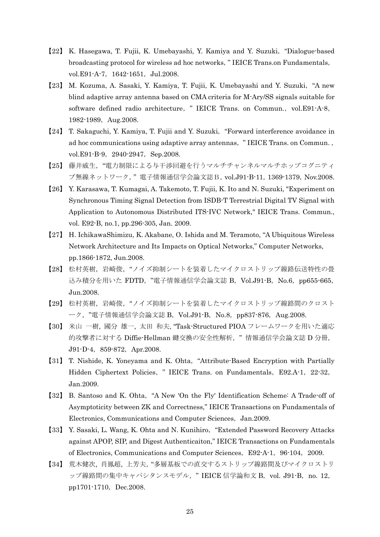- 【22】 K. Hasegawa, T. Fujii, K. Umebayashi, Y. Kamiya and Y. Suzuki,"Dialogue-based broadcasting protocol for wireless ad hoc networks," IEICE Trans.on Fundamentals, vol.E91-A-7, 1642-1651, Jul.2008.
- 【23】 M. Kozuma, A. Sasaki, Y. Kamiya, T. Fujii, K. Umebayashi and Y. Suzuki,"A new blind adaptive array antenna based on CMA criteria for M-Ary/SS signals suitable for software defined radio architecture, " IEICE Trans. on Commun., vol.E91-A-8, 1982-1989, Aug. 2008.
- 【24】 T. Sakaguchi, Y. Kamiya, T. Fujii and Y. Suzuki,"Forward interference avoidance in ad hoc communications using adaptive array antennas," IEICE Trans. on Commun., vol.E91-B-9, 2940-2947, Sep.2008.
- 【25】 藤井威生,"電力制限による与干渉回避を行うマルチチャンネルマルチホップコグニティ ブ無線ネットワーク," 電子情報通信学会論文誌B,vol.J91-B-11,1369-1379,Nov.2008.
- 【26】 Y. Karasawa, T. Kumagai, A. Takemoto, T. Fujii, K. Ito and N. Suzuki, "Experiment on Synchronous Timing Signal Detection from ISDB-T Terrestrial Digital TV Signal with Application to Autonomous Distributed ITS-IVC Network," IEICE Trans. Commun., vol. E92-B, no.1, pp.296-305, Jan. 2009.
- 【27】 H. IchikawaShimizu, K. Akabane, O. Ishida and M. Teramoto, "A Ubiquitous Wireless Network Architecture and Its Impacts on Optical Networks," Computer Networks, pp.1866-1872, Jun.2008.
- 【28】 松村英樹,岩崎俊,"ノイズ抑制シートを装着したマイクロストリップ線路伝送特性の畳 込み積分を用いた FDTD,"電子情報通信学会論文誌 B,Vol.J91-B,No.6,pp655-665, Jun.2008.
- 【29】 松村英樹,岩崎俊,"ノイズ抑制シートを装着したマイクロストリップ線路間のクロスト ーク, "電子情報通信学会論文誌 B, Vol.J91-B, No.8, pp837-876, Aug.2008.
- 【30】 米山 一樹, 國分 雄一, 太田 和夫, "Task-Structured PIOA フレームワークを用いた適応 的攻撃者に対する Diffie-Hellman 鍵交換の安全性解析, "情報通信学会論文誌 D 分冊, J91-D-4,859-872,Apr.2008.
- 【31】 T. Nishide, K. Yoneyama and K. Ohta,"Attribute-Based Encryption with Partially Hidden Ciphertext Policies, " IEICE Trans. on Fundamentals, E92.A-1, 22-32, Jan.2009.
- 【32】 B. Santoso and K. Ohta,"A New 'On the Fly' Identification Scheme: A Trade-off of Asymptoticity between ZK and Correctness," IEICE Transactions on Fundamentals of Electronics, Communications and Computer Sciences, Jan.2009.
- 【33】 Y. Sasaki, L. Wang, K. Ohta and N. Kunihiro,"Extended Password Recovery Attacks against APOP, SIP, and Digest Authenticaiton," IEICE Transactions on Fundamentals of Electronics, Communications and Computer Sciences, E92-A-1, 96-104, 2009.
- 【34】 荒木健次, 肖鳳超, 上芳夫,"多層基板での直交するストリップ線路間及びマイクロストリ ップ線路間の集中キャパシタンスモデル, "IEICE 信学論和文 B, vol. J91-B, no. 12, pp1701-1710, Dec.2008.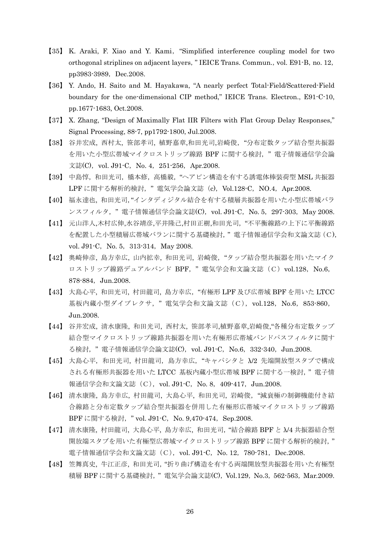- 【35】 K. Araki, F. Xiao and Y. Kami,"Simplified interference coupling model for two orthogonal striplines on adjacent layers, "IEICE Trans. Commun., vol. E91-B, no. 12, pp3983-3989, Dec.2008.
- 【36】 Y. Ando, H. Saito and M. Hayakawa, "A nearly perfect Total-Field/Scattered-Field boundary for the one-dimensional CIP method," IEICE Trans. Electron., E91-C-10, pp.1677-1683, Oct.2008.
- 【37】 X. Zhang, "Design of Maximally Flat IIR Filters with Flat Group Delay Responses," Signal Processing, 88-7, pp1792-1800, Jul.2008.
- 【38】 谷井宏成, 西村太, 笹部孝司, 植野嘉章,和田光司,岩崎俊,"分布定数タップ結合型共振器 を用いた小型広帯域マイクロストリップ線路 BPF に関する検討, "電子情報通信学会論 文誌(C), vol. J91-C, No. 4, 251-256, Apr. 2008.
- 【39】 中島惇, 和田光司, 橋本修, 高橋毅, "ヘアピン構造を有する誘電体棒装荷型 MSL 共振器 LPF に関する解析的検討, "電気学会論文誌 (c), Vol.128-C, NO.4, Apr.2008.
- 【40】 福永達也, 和田光司,"インタディジタル結合を有する積層共振器を用いた小型広帯域バラ ンスフィルタ,"電子情報通信学会論文誌(C),vol. J91-C,No. 5,297-303,May 2008.
- 【41】 元山洋人,木村広伸,水谷靖彦,平井隆己,村田正樹,和田光司,"不平衡線路の上下に平衡線路 を配置した小型積層広帯域バランに関する基礎検討," 電子情報通信学会和文論文誌(C), vol. J91-C, No. 5, 313-314, May 2008.
- 【42】 奥崎伸彦, 島方幸広, 山内拡幸, 和田光司, 岩崎俊,"タップ結合型共振器を用いたマイク ロストリップ線路デュアルバンド BPF, "電気学会和文論文誌 (C) vol.128, No.6, 878-884,Jun.2008.
- 【43】 大島心平, 和田光司, 村田龍司, 島方幸広,"有極形 LPF 及び広帯域 BPF を用いた LTCC 基板内蔵小型ダイプレクサ, "電気学会和文論文誌 (C), vol.128, No.6, 853-860, Jun.2008.
- 【44】 谷井宏成, 清水康隆, 和田光司, 西村太, 笹部孝司,植野嘉章,岩崎俊,"各種分布定数タップ 結合型マイクロストリップ線路共振器を用いた有極形広帯域バンドパスフィルタに関す る検討, "電子情報通信学会論文誌(C), vol. J91-C, No.6, 332-340, Jun.2008.
- 【45】 大島心平,和田光司, 村田龍司,島方幸広,"キャパシタと λ/2 先端開放型スタブで構成 される有極形共振器を用いた LTCC 基板内蔵小型広帯域 BPF に関する一検討," 電子情 報通信学会和文論文誌 (C), vol. J91-C, No. 8, 409-417, Jun.2008.
- 【46】 清水康隆, 島方幸広, 村田龍司, 大島心平, 和田光司, 岩崎俊,"減衰極の制御機能付き結 合線路と分布定数タップ結合型共振器を併用した有極形広帯域マイクロストリップ線路 BPF に関する検討, " vol. J91-C, No. 9,470-474, Sep.2008.
- 【47】 清水康隆, 村田龍司, 大島心平, 島方幸広, 和田光司,"結合線路 BPF と λ/4 共振器結合型 開放端スタブを用いた有極型広帯域マイクロストリップ線路 BPF に関する解析的検討," 電子情報通信学会和文論文誌 (C), vol. J91-C, No. 12, 780-781, Dec.2008.
- 【48】 笠舞真史, 牛江正彦, 和田光司,"折り曲げ構造を有する両端開放型共振器を用いた有極型 積層 BPF に関する基礎検討," 電気学会論文誌(C),Vol.129,No.3,562-563,Mar.2009.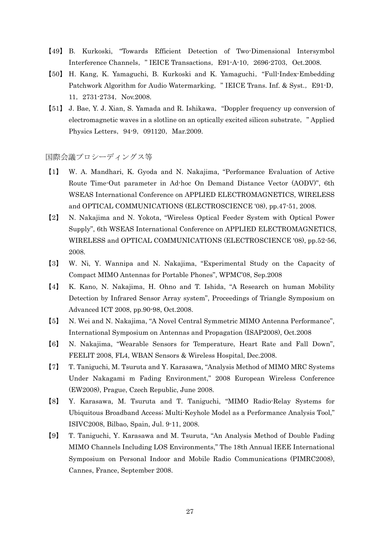- 【49】 B. Kurkoski, "Towards Efficient Detection of Two-Dimensional Intersymbol Interference Channels, " IEICE Transactions, E91-A-10, 2696-2703, Oct.2008.
- 【50】 H. Kang, K. Yamaguchi, B. Kurkoski and K. Yamaguchi,"Full-Index-Embedding Patchwork Algorithm for Audio Watermarking, " IEICE Trans. Inf. & Syst., E91-D, 11, 2731-2734, Nov.2008.
- 【51】 J. Bae, Y. J. Xian, S. Yamada and R. Ishikawa,"Doppler frequency up conversion of electromagnetic waves in a slotline on an optically excited silicon substrate," Applied Physics Letters, 94-9, 091120, Mar.2009.

## 国際会議プロシーディングス等

- 【1】 W. A. Mandhari, K. Gyoda and N. Nakajima, "Performance Evaluation of Active Route Time-Out parameter in Ad-hoc On Demand Distance Vector (AODV)", 6th WSEAS International Conference on APPLIED ELECTROMAGNETICS, WIRELESS and OPTICAL COMMUNICATIONS (ELECTROSCIENCE '08), pp.47-51, 2008.
- 【2】 N. Nakajima and N. Yokota, "Wireless Optical Feeder System with Optical Power Supply", 6th WSEAS International Conference on APPLIED ELECTROMAGNETICS, WIRELESS and OPTICAL COMMUNICATIONS (ELECTROSCIENCE '08), pp.52-56, 2008.
- 【3】 W. Ni, Y. Wannipa and N. Nakajima, "Experimental Study on the Capacity of Compact MIMO Antennas for Portable Phones", WPMC'08, Sep.2008
- 【4】 K. Kano, N. Nakajima, H. Ohno and T. Ishida, "A Research on human Mobility Detection by Infrared Sensor Array system", Proceedings of Triangle Symposium on Advanced ICT 2008, pp.90-98, Oct.2008.
- 【5】 N. Wei and N. Nakajima, "A Novel Central Symmetric MIMO Antenna Performance", International Symposium on Antennas and Propagation (ISAP2008), Oct.2008
- 【6】 N. Nakajima, "Wearable Sensors for Temperature, Heart Rate and Fall Down", FEELIT 2008, FL4, WBAN Sensors & Wireless Hospital, Dec.2008.
- 【7】 T. Taniguchi, M. Tsuruta and Y. Karasawa, "Analysis Method of MIMO MRC Systems Under Nakagami m Fading Environment," 2008 European Wireless Conference (EW2008), Prague, Czech Republic, June 2008.
- 【8】 Y. Karasawa, M. Tsuruta and T. Taniguchi, "MIMO Radio-Relay Systems for Ubiquitous Broadband Access; Multi-Keyhole Model as a Performance Analysis Tool," ISIVC2008, Bilbao, Spain, Jul. 9-11, 2008.
- 【9】 T. Taniguchi, Y. Karasawa and M. Tsuruta, "An Analysis Method of Double Fading MIMO Channels Including LOS Environments," The 18th Annual IEEE International Symposium on Personal Indoor and Mobile Radio Communications (PIMRC2008), Cannes, France, September 2008.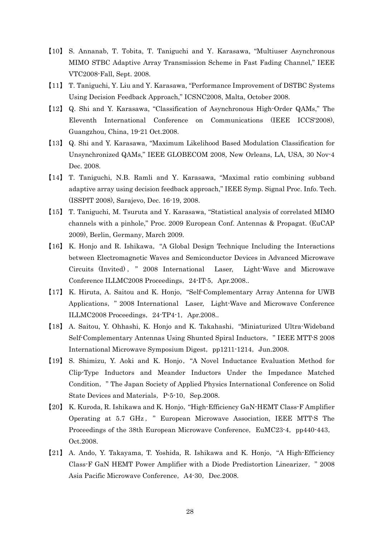- 【10】 S. Annanab, T. Tobita, T. Taniguchi and Y. Karasawa, "Multiuser Asynchronous MIMO STBC Adaptive Array Transmission Scheme in Fast Fading Channel," IEEE VTC2008-Fall, Sept. 2008.
- 【11】 T. Taniguchi, Y. Liu and Y. Karasawa, "Performance Improvement of DSTBC Systems Using Decision Feedback Approach," ICSNC2008, Malta, October 2008.
- 【12】 Q. Shi and Y. Karasawa, "Classification of Asynchronous High-Order QAMs," The Eleventh International Conference on Communications (IEEE ICCS'2008), Guangzhou, China, 19-21 Oct.2008.
- 【13】 Q. Shi and Y. Karasawa, "Maximum Likelihood Based Modulation Classification for Unsynchronized QAMs," IEEE GLOBECOM 2008, New Orleans, LA, USA, 30 Nov-4 Dec. 2008.
- 【14】 T. Taniguchi, N.B. Ramli and Y. Karasawa, "Maximal ratio combining subband adaptive array using decision feedback approach," IEEE Symp. Signal Proc. Info. Tech. (ISSPIT 2008), Sarajevo, Dec. 16-19, 2008.
- 【15】 T. Taniguchi, M. Tsuruta and Y. Karasawa, "Statistical analysis of correlated MIMO channels with a pinhole," Proc. 2009 European Conf. Antennas & Propagat. (EuCAP 2009), Berlin, Germany, March 2009.
- 【16】 K. Honjo and R. Ishikawa,"A Global Design Technique Including the Interactions between Electromagnetic Waves and Semiconductor Devices in Advanced Microwave Circuits (Invited) , " 2008 International Laser, Light-Wave and Microwave Conference ILLMC2008 Proceedings, 24-IT-5, Apr.2008..
- 【17】 K. Hiruta, A. Saitou and K. Honjo,"Self-Complementary Array Antenna for UWB Applications," 2008 International Laser, Light-Wave and Microwave Conference ILLMC2008 Proceedings, 24-TP4-1, Apr.2008..
- 【18】 A. Saitou, Y. Ohhashi, K. Honjo and K. Takahashi,"Miniaturized Ultra-Wideband Self-Complementary Antennas Using Shunted Spiral Inductors," IEEE MTT-S 2008 International Microwave Symposium Digest, pp1211-1214, Jun.2008.
- 【19】 S. Shimizu, Y. Aoki and K. Honjo,"A Novel Inductance Evaluation Method for Clip-Type Inductors and Meander Inductors Under the Impedance Matched Condition," The Japan Society of Applied Physics International Conference on Solid State Devices and Materials, P-5-10, Sep.2008.
- 【20】 K. Kuroda, R. Ishikawa and K. Honjo,"High-Efficiency GaN-HEMT Class-F Amplifier Operating at 5.7 GHz , " European Microwave Association, IEEE MTT-S The Proceedings of the 38th European Microwave Conference, EuMC23-4, pp440-443, Oct.2008.
- 【21】 A. Ando, Y. Takayama, T. Yoshida, R. Ishikawa and K. Honjo,"A High-Efficiency Class-F GaN HEMT Power Amplifier with a Diode Predistortion Linearizer," 2008 Asia Pacific Microwave Conference, A4-30, Dec.2008.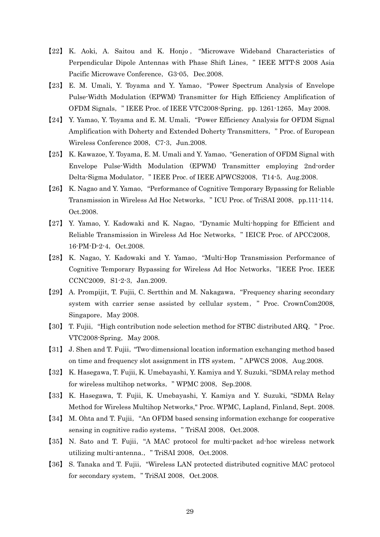- 【22】 K. Aoki, A. Saitou and K. Honjo , "Microwave Wideband Characteristics of Perpendicular Dipole Antennas with Phase Shift Lines," IEEE MTT-S 2008 Asia Pacific Microwave Conference, G3-05, Dec.2008.
- 【23】 E. M. Umali, Y. Toyama and Y. Yamao,"Power Spectrum Analysis of Envelope Pulse-Width Modulation (EPWM) Transmitter for High Efficiency Amplification of OFDM Signals," IEEE Proc. of IEEE VTC2008-Spring,pp. 1261-1265,May 2008.
- 【24】 Y. Yamao, Y. Toyama and E. M. Umali,"Power Efficiency Analysis for OFDM Signal Amplification with Doherty and Extended Doherty Transmitters," Proc. of European Wireless Conference 2008, C7-3, Jun.2008.
- 【25】 K. Kawazoe, Y. Toyama, E. M. Umali and Y. Yamao,"Generation of OFDM Signal with Envelope Pulse-Width Modulation (EPWM) Transmitter employing 2nd-order Delta-Sigma Modulator, "IEEE Proc. of IEEE APWCS2008, T14-5, Aug.2008.
- 【26】 K. Nagao and Y. Yamao,"Performance of Cognitive Temporary Bypassing for Reliable Transmission in Wireless Ad Hoc Networks, "ICU Proc. of TriSAI 2008, pp.111-114, Oct.2008.
- 【27】 Y. Yamao, Y. Kadowaki and K. Nagao,"Dynamic Multi-hopping for Efficient and Reliable Transmission in Wireless Ad Hoc Networks," IEICE Proc. of APCC2008, 16-PM-D-2-4, Oct.2008.
- 【28】 K. Nagao, Y. Kadowaki and Y. Yamao,"Multi-Hop Transmission Performance of Cognitive Temporary Bypassing for Wireless Ad Hoc Networks,"IEEE Proc. IEEE CCNC2009, S1-2-3, Jan.2009.
- 【29】 A. Prompijit, T. Fujii, C. Sertthin and M. Nakagawa,"Frequency sharing secondary system with carrier sense assisted by cellular system," Proc. CrownCom2008, Singapore, May 2008.
- 【30】 T. Fujii,"High contribution node selection method for STBC distributed ARQ," Proc.  $VTC2008-Spring$ , May 2008.
- 【31】 J. Shen and T. Fujii,"Two-dimensional location information exchanging method based on time and frequency slot assignment in ITS system, "APWCS 2008, Aug.2008.
- 【32】 K. Hasegawa, T. Fujii, K. Umebayashi, Y. Kamiya and Y. Suzuki,"SDMA relay method for wireless multihop networks, "WPMC 2008, Sep.2008.
- 【33】 K. Hasegawa, T. Fujii, K. Umebayashi, Y. Kamiya and Y. Suzuki, "SDMA Relay Method for Wireless Multihop Networks," Proc. WPMC, Lapland, Finland, Sept. 2008.
- 【34】 M. Ohta and T. Fujii,"An OFDM based sensing information exchange for cooperative sensing in cognitive radio systems, "TriSAI 2008, Oct.2008.
- 【35】 N. Sato and T. Fujii,"A MAC protocol for multi-packet ad-hoc wireless network utilizing multi-antenna., "TriSAI 2008, Oct.2008.
- 【36】 S. Tanaka and T. Fujii,"Wireless LAN protected distributed cognitive MAC protocol for secondary system, "TriSAI 2008, Oct.2008.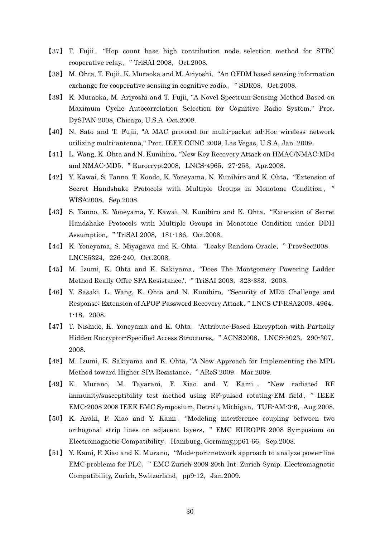- 【37】 T. Fujii , "Hop count base high contribution node selection method for STBC cooperative relay., "TriSAI 2008, Oct.2008.
- 【38】 M. Ohta, T. Fujii, K. Muraoka and M. Ariyoshi,"An OFDM based sensing information exchange for cooperative sensing in cognitive radio., "SDR08, Oct.2008.
- 【39】 K. Muraoka, M. Ariyoshi and T. Fujii, "A Novel Spectrum-Sensing Method Based on Maximum Cyclic Autocorrelation Selection for Cognitive Radio System," Proc. DySPAN 2008, Chicago, U.S.A. Oct.2008.
- 【40】 N. Sato and T. Fujii, "A MAC protocol for multi-packet ad-Hoc wireless network utilizing multi-antenna," Proc. IEEE CCNC 2009, Las Vegas, U.S.A, Jan. 2009.
- 【41】 L. Wang, K. Ohta and N. Kunihiro,"New Key Recovery Attack on HMAC/NMAC-MD4 and NMAC-MD5, "Eurocrypt2008, LNCS-4965, 27-253, Apr.2008.
- 【42】 Y. Kawai, S. Tanno, T. Kondo, K. Yoneyama, N. Kunihiro and K. Ohta,"Extension of Secret Handshake Protocols with Multiple Groups in Monotone Condition , " WISA2008, Sep.2008.
- 【43】 S. Tanno, K. Yoneyama, Y. Kawai, N. Kunihiro and K. Ohta,"Extension of Secret Handshake Protocols with Multiple Groups in Monotone Condition under DDH Assumption, "TriSAI 2008, 181-186, Oct.2008.
- 【44】 K. Yoneyama, S. Miyagawa and K. Ohta,"Leaky Random Oracle," ProvSec2008, LNCS5324, 226-240, Oct.2008.
- 【45】 M. Izumi, K. Ohta and K. Sakiyama,"Does The Montgomery Powering Ladder Method Really Offer SPA Resistance?, "TriSAI 2008, 328-333, 2008.
- 【46】 Y. Sasaki, L. Wang, K. Ohta and N. Kunihiro,"Security of MD5 Challenge and Response: Extension of APOP Password Recovery Attack," LNCS CT-RSA2008,4964, 1-18,2008.
- 【47】 T. Nishide, K. Yoneyama and K. Ohta,"Attribute-Based Encryption with Partially Hidden Encryptor-Specified Access Structures, "ACNS2008, LNCS-5023, 290-307, 2008.
- 【48】 M. Izumi, K. Sakiyama and K. Ohta, "A New Approach for Implementing the MPL Method toward Higher SPA Resistance, "AReS 2009, Mar.2009.
- 【49】 K. Murano, M. Tayarani, F. Xiao and Y. Kami , "New radiated RF immunity/susceptibility test method using RF-pulsed rotating-EM field," IEEE EMC-2008 2008 IEEE EMC Symposium, Detroit, Michigan, TUE-AM-3-6, Aug.2008.
- 【50】 K. Araki, F. Xiao and Y. Kami, "Modeling interference coupling between two orthogonal strip lines on adjacent layers," EMC EUROPE 2008 Symposium on Electromagnetic Compatibility, Hamburg, Germany,pp61-66, Sep.2008.
- 【51】 Y. Kami, F. Xiao and K. Murano,"Mode-port-network approach to analyze power-line EMC problems for PLC," EMC Zurich 2009 20th Int. Zurich Symp. Electromagnetic Compatibility, Zurich, Switzerland, pp9-12, Jan.2009.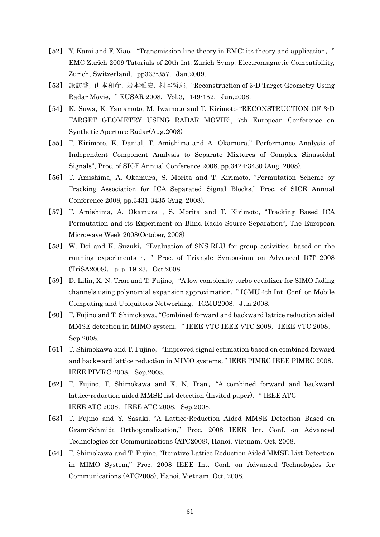- 【52】 Y. Kami and F. Xiao,"Transmission line theory in EMC: its theory and application," EMC Zurich 2009 Tutorials of 20th Int. Zurich Symp. Electromagnetic Compatibility, Zurich, Switzerland, pp333-357, Jan.2009.
- 【53】 諏訪啓,山本和彦,岩本雅史,桐本哲郎,"Reconstruction of 3-D Target Geometry Using Radar Movie, "EUSAR 2008, Vol.3, 149-152, Jun.2008.
- 【54】 K. Suwa, K. Yamamoto, M. Iwamoto and T. Kirimoto, "RECONSTRUCTION OF 3-D TARGET GEOMETRY USING RADAR MOVIE", 7th European Conference on Synthetic Aperture Radar(Aug.2008)
- 【55】 T. Kirimoto, K. Danial, T. Amishima and A. Okamura," Performance Analysis of Independent Component Analysis to Separate Mixtures of Complex Sinusoidal Signals", Proc. of SICE Annual Conference 2008, pp.3424-3430 (Aug. 2008).
- 【56】 T. Amishima, A. Okamura, S. Morita and T. Kirimoto, "Permutation Scheme by Tracking Association for ICA Separated Signal Blocks," Proc. of SICE Annual Conference 2008, pp.3431-3435 (Aug. 2008).
- 【57】 T. Amishima, A. Okamura , S. Morita and T. Kirimoto, "Tracking Based ICA Permutation and its Experiment on Blind Radio Source Separation", The European Microwave Week 2008(October, 2008)
- 【58】 W. Doi and K. Suzuki,"Evaluation of SNS-RLU for group activities -based on the running experiments -," Proc. of Triangle Symposium on Advanced ICT 2008 (TriSA2008), pp.19-23, Oct.2008.
- 【59】 D. Lilin, X. N. Tran and T. Fujino,"A low complexity turbo equalizer for SIMO fading channels using polynomial expansion approximation," ICMU 4th Int. Conf. on Mobile Computing and Ubiquitous Networking, ICMU2008, Jun.2008.
- 【60】 T. Fujino and T. Shimokawa,"Combined forward and backward lattice reduction aided MMSE detection in MIMO system, "IEEE VTC IEEE VTC 2008, IEEE VTC 2008, Sep.2008.
- 【61】 T. Shimokawa and T. Fujino,"Improved signal estimation based on combined forward and backward lattice reduction in MIMO systems," IEEE PIMRC IEEE PIMRC 2008, IEEE PIMRC 2008, Sep.2008.
- 【62】 T. Fujino, T. Shimokawa and X. N. Tran,"A combined forward and backward lattice-reduction aided MMSE list detection (Invited paper), "IEEE ATC IEEE ATC 2008, IEEE ATC 2008, Sep.2008.
- 【63】 T. Fujino and Y. Sasaki, "A Lattice-Reduction Aided MMSE Detection Based on Gram-Schmidt Orthogonalization," Proc. 2008 IEEE Int. Conf. on Advanced Technologies for Communications (ATC2008), Hanoi, Vietnam, Oct. 2008.
- 【64】 T. Shimokawa and T. Fujino, "Iterative Lattice Reduction Aided MMSE List Detection in MIMO System," Proc. 2008 IEEE Int. Conf. on Advanced Technologies for Communications (ATC2008), Hanoi, Vietnam, Oct. 2008.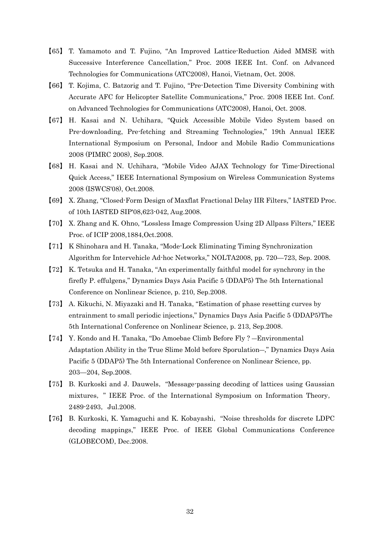- 【65】 T. Yamamoto and T. Fujino, "An Improved Lattice-Reduction Aided MMSE with Successive Interference Cancellation," Proc. 2008 IEEE Int. Conf. on Advanced Technologies for Communications (ATC2008), Hanoi, Vietnam, Oct. 2008.
- 【66】 T. Kojima, C. Batzorig and T. Fujino, "Pre-Detection Time Diversity Combining with Accurate AFC for Helicopter Satellite Communications," Proc. 2008 IEEE Int. Conf. on Advanced Technologies for Communications (ATC2008), Hanoi, Oct. 2008.
- 【67】 H. Kasai and N. Uchihara, "Quick Accessible Mobile Video System based on Pre-downloading, Pre-fetching and Streaming Technologies," 19th Annual IEEE International Symposium on Personal, Indoor and Mobile Radio Communications 2008 (PIMRC 2008), Sep.2008.
- 【68】 H. Kasai and N. Uchihara, "Mobile Video AJAX Technology for Time-Directional Quick Access," IEEE International Symposium on Wireless Communication Systems 2008 (ISWCS'08), Oct.2008.
- 【69】 X. Zhang, "Closed-Form Design of Maxflat Fractional Delay IIR Filters," IASTED Proc. of 10th IASTED SIP'08,623-042, Aug.2008.
- 【70】 X. Zhang and K. Ohno, "Lossless Image Compression Using 2D Allpass Filters," IEEE Proc. of ICIP 2008,1884,Oct.2008.
- 【71】 K Shinohara and H. Tanaka, "Mode-Lock Eliminating Timing Synchronization Algorithm for Intervehicle Ad-hoc Networks," NOLTA2008, pp. 720—723, Sep. 2008.
- 【72】 K. Tetsuka and H. Tanaka, "An experimentally faithful model for synchrony in the firefly P. effulgens," Dynamics Days Asia Pacific 5 (DDAP5) The 5th International Conference on Nonlinear Science, p. 210, Sep.2008.
- 【73】 A. Kikuchi, N. Miyazaki and H. Tanaka, "Estimation of phase resetting curves by entrainment to small periodic injections," Dynamics Days Asia Pacific 5 (DDAP5)The 5th International Conference on Nonlinear Science, p. 213, Sep.2008.
- 【74】 Y. Kondo and H. Tanaka, "Do Amoebae Climb Before Fly ? ―Environmental Adaptation Ability in the True Slime Mold before Sporulation―," Dynamics Days Asia Pacific 5 (DDAP5) The 5th International Conference on Nonlinear Science, pp. 203—204, Sep.2008.
- 【75】 B. Kurkoski and J. Dauwels,"Message-passing decoding of lattices using Gaussian mixtures," IEEE Proc. of the International Symposium on Information Theory, 2489-2493, Jul.2008.
- 【76】 B. Kurkoski, K. Yamaguchi and K. Kobayashi,"Noise thresholds for discrete LDPC decoding mappings," IEEE Proc. of IEEE Global Communications Conference (GLOBECOM), Dec.2008.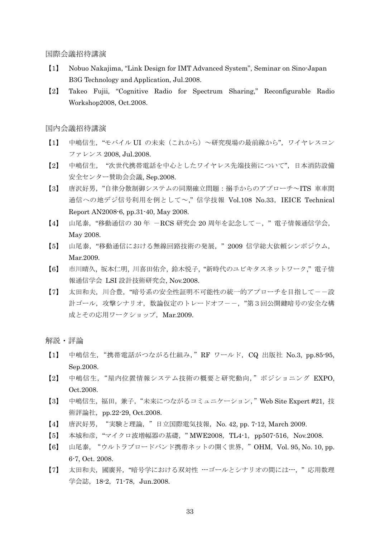国際会議招待講演

- 【1】 Nobuo Nakajima, "Link Design for IMT Advanced System", Seminar on Sino-Japan B3G Technology and Application, Jul.2008.
- 【2】 Takeo Fujii, "Cognitive Radio for Spectrum Sharing," Reconfigurable Radio Workshop2008, Oct.2008.

国内会議招待講演

- 【1】 中嶋信生, "モバイル UI の未来 (これから) ~研究現場の最前線から", ワイヤレスコン ファレンス 2008, Jul.2008.
- 【2】 中嶋信生, "次世代携帯電話を中心としたワイヤレス先端技術について",日本消防設備 安全センター賛助会会議, Sep.2008.
- 【3】 唐沢好男,"自律分散制御システムの同期確立問題:搦手からのアプローチ~ITS 車車間 通信への地デジ信号利用を例として~," 信学技報 Vol.108 No.33,IEICE Technical Report AN2008-6, pp.31-40, May 2008.
- 【4】 山尾泰, "移動通信の 30 年 -RCS 研究会 20 周年を記念して-, "電子情報通信学会, May 2008.
- 【5】 山尾泰,"移動通信における無線回路技術の発展," 2009 信学総大依頼シンポジウム, Mar.2009.
- 【6】 市川晴久, 坂本仁明, 川喜田佑介, 鈴木悦子, "新時代のユビキタスネットワーク," 電子情 報通信学会 LSI 設計技術研究会, Nov.2008.
- 【7】 太田和夫,川合豊,"暗号系の安全性証明不可能性の統一的アプローチを目指して--設 計ゴール,攻撃シナリオ,数論仮定のトレードオフーー,"第3回公開鍵暗号の安全な構 成とその応用ワークショップ, Mar.2009.

- 【1】 中嶋信生,"携帯電話がつながる仕組み,"RF ワールド,CQ 出版社 No.3, pp.85-95, Sep.2008.
- 【2】 中嶋信生,"屋内位置情報システム技術の概要と研究動向,"ポジショニング EXPO, Oct.2008.
- 【3】 中嶋信生,福田,兼子,"未来につながるコミュニケーション,"Web Site Expert #21, 技 術評論社,pp.22-29, Oct.2008.
- 【4】 唐沢好男,"実験と理論,"日立国際電気技報,No. 42, pp. 7-12, March 2009.
- 【5】 本城和彦, "マイクロ波増幅器の基礎, "MWE2008, TL4-1, pp507-516, Nov.2008.
- 【6】 山尾泰,"ウルトラブロードバンド携帯ネットの開く世界,"OHM,Vol. 95, No. 10, pp. 6-7, Oct. 2008.
- 【7】 太田和夫,國廣昇,"暗号学における双対性 ---ゴールとシナリオの間には---," 応用数理 学会誌,18-2,71-78,Jun.2008.

解説・評論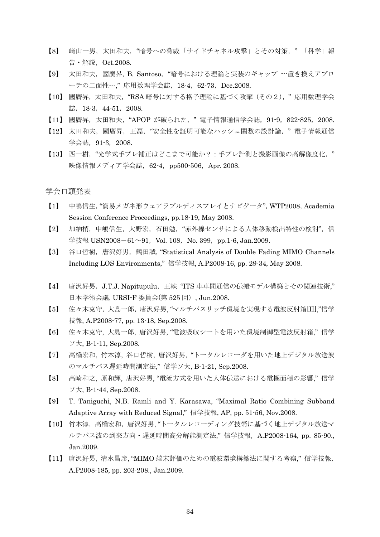- 【8】 﨑山一男,太田和夫,"暗号への脅威「サイドチャネル攻撃」とその対策," 「科学」報 告・解説,Oct.2008.
- 【9】 太田和夫,國廣昇, B. Santoso,"暗号における理論と実装のギャップ ---置き換えアプロ ーチの二面性---," 応用数理学会誌,18-4,62-73,Dec.2008.
- 【10】 國廣昇,太田和夫,"RSA 暗号に対する格子理論に基づく攻撃(その2)," 応用数理学会 誌, 18-3, 44-51, 2008.
- 【11】 國廣昇,太田和夫,"APOP が破られた," 電子情報通信学会誌,91-9,822-825,2008.
- 【12】 太田和夫,國廣昇,王磊,"安全性を証明可能なハッシュ関数の設計論," 電子情報通信 学会誌, 91-3, 2008.
- 【13】 西一樹,"光学式手ブレ補正はどこまで可能か?:手ブレ計測と撮影画像の高解像度化," 映像情報メディア学会誌, 62-4, pp500-506, Apr. 2008.

学会口頭発表

- 【1】 中嶋信生,"簡易メガネ形ウェアラブルディスプレイとナビゲータ",WTP2008,Academia Session Conference Proceedings, pp.18-19, May 2008.
- 【2】 加納梢,中嶋信生,大野宏,石田勉,"赤外線センサによる人体移動検出特性の検討",信 学技報 USN2008-61~91, Vol. 108, No. 399, pp.1-6, Jan.2009.
- 【3】 谷口哲樹, 唐沢好男, 鶴田誠, "Statistical Analysis of Double Fading MIMO Channels Including LOS Environments," 信学技報, A.P2008-16, pp. 29-34, May 2008.
- 【4】 唐沢好男,J.T.J. Napitupulu,王軼 "ITS 車車間通信の伝搬モデル構築とその関連技術," 日本学術会議, URSI-F 委員会(第 525 回), Jun.2008.
- 【5】 佐々木克守,大島一郎,唐沢好男, "マルチパスリッチ環境を実現する電波反射箱[II],"信学 技報, A.P2008-77, pp. 13-18, Sep.2008.
- 【6】 佐々木克守, 大島一郎, 唐沢好男, "電波吸収シートを用いた環境制御型電波反射箱," 信学 ソ大, B-1-11, Sep.2008.
- 【7】 高橋宏和, 竹本淳, 谷口哲樹, 唐沢好男, "トータルレコーダを用いた地上デジタル放送波 のマルチパス遅延時間測定法," 信学ソ大, B-1-21, Sep.2008.
- 【8】 高崎和之, 原和輝, 唐沢好男, "電流方式を用いた人体伝送における電極面積の影響," 信学 ソ大, B-1-44, Sep.2008.
- 【9】 T. Taniguchi, N.B. Ramli and Y. Karasawa, "Maximal Ratio Combining Subband Adaptive Array with Reduced Signal," 信学技報, AP, pp. 51-56, Nov.2008.
- 【10】 竹本淳,高橋宏和,唐沢好男, "トータルレコーディング技術に基づく地上デジタル放送マ ルチパス波の到来方向・遅延時間高分解能測定法," 信学技報,A.P2008-164, pp. 85-90., Jan.2009.
- 【11】 唐沢好男,清水昌彦, "MIMO 端末評価のための電波環境構築法に関する考察," 信学技報, A.P2008-185, pp. 203-208., Jan.2009.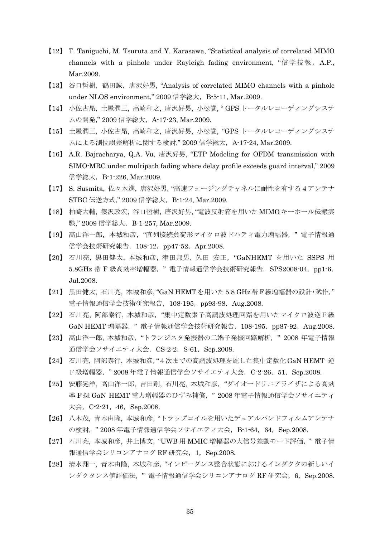- 【12】 T. Taniguchi, M. Tsuruta and Y. Karasawa, "Statistical analysis of correlated MIMO channels with a pinhole under Rayleigh fading environment, "信学技報, A.P., Mar.2009.
- 【13】 谷口哲樹, 鶴田誠, 唐沢好男, "Analysis of correlated MIMO channels with a pinhole under NLOS environment," 2009信学総大, B-5-11, Mar.2009.
- 【14】 小佐古昂, 土屋潤三, 高崎和之, 唐沢好男, 小松覚, " GPS トータルレコーディングシステ ムの開発," 2009 信学総大,A-17-23, Mar.2009.
- 【15】 土屋潤三, 小佐古昂, 高崎和之, 唐沢好男, 小松覚, "GPS トータルレコーディングシステ ムによる測位誤差解析に関する検討," 2009 信学総大,A-17-24, Mar.2009.
- 【16】 A.R. Bajracharya, Q.A. Vu, 唐沢好男, "ETP Modeling for OFDM transmission with SIMO-MRC under multipath fading where delay profile exceeds guard interval," 2009 信学総大,B-1-226, Mar.2009.
- 【17】 S. Susmita, 佐々木進, 唐沢好男, "高速フェージングチャネルに耐性を有する4アンテナ STBC 伝送方式," 2009 信学総大, B-1-24, Mar.2009.
- 【18】 柏崎大輔, 篠沢政宏, 谷口哲樹, 唐沢好男, "電波反射箱を用いた MIMO キーホール伝搬実 験," 2009 信学総大, B-1-257, Mar.2009.
- 【19】 高山洋一郎,本城和彦,"直列接続負荷形マイクロ波ドハティ電力増幅器," 電子情報通 信学会技術研究報告, 108-12, pp47-52, Apr.2008.
- 【20】 石川亮, 黒田健太, 本城和彦, 津田邦男, 久田 安正,"GaNHEMT を用いた SSPS 用 5.8GHz 帯 F 級高効率増幅器," 電子情報通信学会技術研究報告,SPS2008-04,pp1-6, Jul.2008.
- 【21】 黒田健太, 石川亮, 本城和彦, "GaN HEMT を用いた 5.8 GHz帯 F 級増幅器の設計・試作," 電子情報通信学会技術研究報告, 108-195, pp93-98, Aug.2008.
- 【22】 石川亮, 阿部泰行, 本城和彦,"集中定数素子高調波処理回路を用いたマイクロ波逆F級 GaN HEMT 増幅器," 電子情報通信学会技術研究報告,108-195,pp87-92,Aug.2008.
- 【23】 高山洋一郎, 本城和彦,"トランジスタ発振器の二端子発振回路解析," 2008 年電子情報 通信学会ソサイエティ大会, CS-2-2, S-61, Sep.2008.
- 【24】 石川亮, 阿部泰行, 本城和彦,"4次までの高調波処理を施した集中定数化 GaN HEMT 逆 F級増幅器, "2008年電子情報通信学会ソサイエティ大会, C-2-26, 51, Sep.2008.
- 【25】 安藤晃洋, 高山洋一郎, 吉田剛, 石川亮, 本城和彦,"ダイオードリニアライザによる高効 率 F 級 GaN HEMT 電力増幅器のひずみ補償," 2008 年電子情報通信学会ソサイエティ 大会, C-2-21, 46, Sep.2008.
- 【26】 八木茂, 青木由隆, 本城和彦,"トラップコイルを用いたデュアルバンドフィルムアンテナ の検討, "2008年電子情報通信学会ソサイエティ大会, B-1-64, 64, Sep.2008.
- 【27】 石川亮, 本城和彦, 井上博文,"UWB 用 MMIC 増幅器の大信号差動モード評価," 電子情 報通信学会シリコンアナログ RF 研究会, 1, Sep.2008.
- 【28】 清水翔一, 青木由隆, 本城和彦,"インピーダンス整合状態におけるインダクタの新しいイ  $\vee$ ダクタンス値評価法, "電子情報通信学会シリコンアナログ RF 研究会, 6, Sep.2008.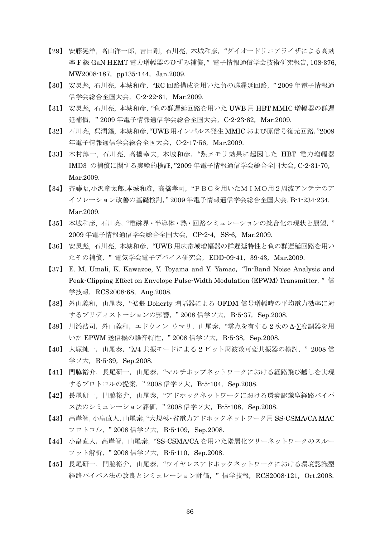- 【29】 安藤晃洋, 高山洋一郎, 吉田剛, 石川亮, 本城和彦,"ダイオードリニアライザによる高効 率 F 級 GaN HEMT 電力増幅器のひずみ補償," 電子情報通信学会技術研究報告,108-376, MW2008-187, pp135-144, Jan.2009.
- 【30】 安炅彪, 石川亮, 本城和彦,"RC 回路構成を用いた負の群遅延回路," 2009 年電子情報通 信学会総合全国大会, C-2-22-61, Mar.2009.
- 【31】 安炅彪, 石川亮, 本城和彦,"負の群遅延回路を用いた UWB 用 HBT MMIC 増幅器の群遅 延補償," 2009 年電子情報通信学会総合全国大会,C-2-23-62,Mar.2009.
- 【32】 石川亮, 呉潤錫, 本城和彦,"UWB 用インパルス発生 MMIC および原信号復元回路,"2009 年電子情報通信学会総合全国大会, C-2-17-56, Mar.2009.
- 【33】 木村淳一, 石川亮, 高橋幸夫, 本城和彦,"熱メモリ効果に起因した HBT 電力増幅器 IMD3 の補償に関する実験的検証,"2009 年電子情報通信学会総合全国大会,C-2-31-70, Mar.2009.
- 【34】 斉藤昭,小沢章太郎,本城和彦, 高橋孝司,"PBGを用いたMIMO用2周波アンテナのア イソレーション改善の基礎検討," 2009 年電子情報通信学会総合全国大会,B-1-234-234, Mar.2009.
- 【35】 本城和彦, 石川亮,"電磁界・半導体・熱・回路シミュレーションの統合化の現状と展望," 2009 年電子情報通信学会総合全国大会,CP-2-4,SS-6,Mar.2009.
- 【36】 安炅彪, 石川亮, 本城和彦,"UWB 用広帯域増幅器の群遅延特性と負の群遅延回路を用い たその補償, "電気学会電子デバイス研究会, EDD-09-41, 39-43, Mar.2009.
- 【37】 E. M. Umali, K. Kawazoe, Y. Toyama and Y. Yamao,"In-Band Noise Analysis and Peak-Clipping Effect on Envelope Pulse-Width Modulation (EPWM) Transmitter, "信 学技報, RCS2008-68, Aug.2008.
- 【38】 外山義和,山尾泰,"拡張 Doherty 増幅器による OFDM 信号増幅時の平均電力効率に対 するプリディストーションの影響, "2008信学ソ大, B-5-37, Sep.2008.
- 【39】 川添浩司,外山義和,エドウィン ウマリ,山尾泰,"零点を有する 2 次の Δ-∑変調器を用 いた EPWM 送信機の雑音特性, "2008信学ソ大, B-5-38, Sep.2008.
- 【40】 大塚純一,山尾泰,"λ/4 共振モードによる 2 ビット周波数可変共振器の検討," 2008 信 学ソ大, B-5-39, Sep.2008.
- 【41】 門脇裕介,長尾研一,山尾泰,"マルチホップネットワークにおける経路飛び越しを実現 するプロトコルの提案, "2008信学ソ大, B-5-104, Sep.2008.
- 【42】 長尾研一,門脇裕介,山尾泰,"アドホックネットワークにおける環境認識型経路バイパ ス法のシミュレーション評価, "2008信学ソ大, B-5-108, Sep.2008.
- 【43】 高岸智,小畠直人,山尾泰,"大規模・省電力アドホックネットワーク用 SS-CSMA/CA MAC プロトコル, "2008信学ソ大, B-5-109, Sep.2008.
- 【44】 小畠直人,高岸智,山尾泰, "SS-CSMA/CA を用いた階層化ツリーネットワークのスルー プット解析, "2008信学ソ大, B-5-110, Sep.2008.
- 【45】 長尾研一,門脇裕介,山尾泰,"ワイヤレスアドホックネットワークにおける環境認識型 経路バイパス法の改良とシミュレーション評価, "信学技報, RCS2008-121, Oct.2008.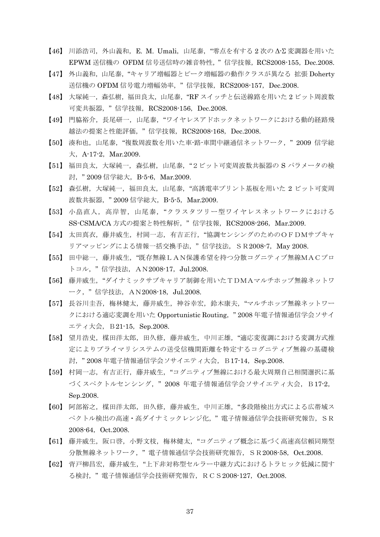- 【46】 川添浩司,外山義和,E. M. Umali,山尾泰,"零点を有する 2 次の Δ-Σ 変調器を用いた EPWM 送信機の OFDM 信号送信時の雑音特性," 信学技報,RCS2008-155,Dec.2008.
- 【47】 外山義和,山尾泰, "キャリア増幅器とピーク増幅器の動作クラスが異なる 拡張 Doherty 送信機の OFDM 信号電力増幅効率, "信学技報, RCS2008-157, Dec.2008.
- 【48】 大塚純一,森弘樹,福田良太,山尾泰,"RF スイッチと伝送線路を用いた 2 ビット周波数 可変共振器," 信学技報,RCS2008-156,Dec.2008.
- 【49】 門脇裕介,長尾研一,山尾泰,"ワイヤレスアドホックネットワークにおける動的経路飛 越法の提案と性能評価," 信学技報,RCS2008-168,Dec.2008.
- 【50】 湊和也,山尾泰,"複数周波数を用いた車-路-車間中継通信ネットワーク," 2009 信学総  $\pm$ , A-17-2, Mar.2009.
- 【51】 福田良太,大塚純一,森弘樹,山尾泰,"2ビット可変周波数共振器の S パラメータの検 討, "2009信学総大, B-5-6, Mar.2009.
- 【52】 森弘樹,大塚純一,福田良太,山尾泰,"高誘電率プリント基板を用いた 2 ビット可変周 波数共振器, "2009信学総大, B-5-5, Mar.2009.
- 【53】 小畠直人,高岸智,山尾泰,"クラスタツリー型ワイヤレスネットワークにおける SS-CSMA/CA 方式の提案と特性解析," 信学技報,RCS2008-266,Mar.2009.
- 【54】 太田真衣,藤井威生,村岡一志,有吉正行,"協調センシングのためのOFDMサブキャ リアマッピングによる情報一括交換手法, "信学技法, SR2008-7, May 2008.
- 【55】 田中総一,藤井威生,"既存無線LAN保護希望を持つ分散コグニティブ無線MACプロ トコル, "信学技法, AN2008-17, Jul.2008.
- 【56】 藤井威生,"ダイナミックサブキャリア制御を用いたTDMAマルチホップ無線ネットワ ーク," 信学技法,AN2008-18,Jul.2008.
- 【57】 長谷川圭吾,梅林健太,藤井威生,神谷幸宏,鈴木康夫,"マルチホップ無線ネットワー クにおける適応変調を用いた Opportunistic Routing, "2008年電子情報通信学会ソサイ エティ大会, B21-15, Sep.2008.
- 【58】 望月浩史,楳田洋太郎,田久修,藤井威生,中川正雄,"適応変復調における変調方式推 定によりプライマリシステムの送受信機間距離を特定するコグニティブ無線の基礎検 討, "2008年電子情報通信学会ソサイエティ大会, B17-14, Sep.2008.
- 【59】 村岡一志,有吉正行,藤井威生,"コグニティブ無線における最大周期自己相関選択に基 づくスペクトルセンシング, " 2008 年電子情報通信学会ソサイエティ大会, B17-2, Sep.2008.
- 【60】 阿部裕之,楳田洋太郎,田久修,藤井威生,中川正雄,"多段階検出方式による広帯域ス ペクトル検出の高速·高ダイナミックレンジ化,"電子情報通信学会技術研究報告, SR 2008-64,Oct.2008.
- 【61】 藤井威生,阪口啓,小野文枝,梅林健太,"コグニティブ概念に基づく高速高信頼同期型 分散無線ネットワーク," 電子情報通信学会技術研究報告,SR2008-58,Oct.2008.
- 【62】 背戸柳昌宏,藤井威生,"上下非対称型セルラー中継方式におけるトラヒック低減に関す る検討," 電子情報通信学会技術研究報告,RCS2008-127,Oct.2008.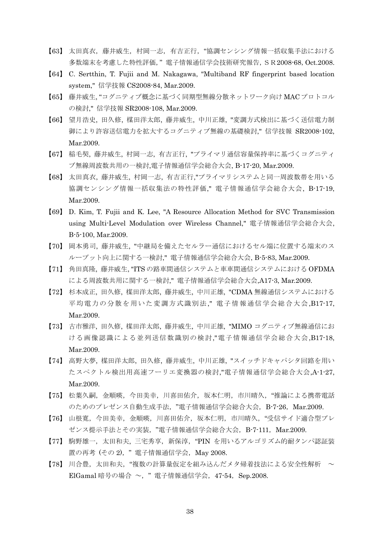- 【63】 太田真衣,藤井威生,村岡一志,有吉正行,"協調センシング情報一括収集手法における 多数端末を考慮した特性評価," 電子情報通信学会技術研究報告,SR2008-68,Oct.2008.
- 【64】 C. Sertthin, T. Fujii and M. Nakagawa, "Multiband RF fingerprint based location system," 信学技報 CS2008-84, Mar.2009.
- 【65】 藤井威生, "コグニティブ概念に基づく同期型無線分散ネットワーク向け MAC プロトコル の検討," 信学技報 SR2008-108, Mar.2009.
- 【66】 望月浩史, 田久修, 楳田洋太郎, 藤井威生, 中川正雄, "変調方式検出に基づく送信電力制 御により許容送信電力を拡大するコグニティブ無線の基礎検討," 信学技報 SR2008-102, Mar.2009.
- 【67】 稲毛契, 藤井威生, 村岡一志, 有吉正行, "プライマリ通信容量保持率に基づくコグニティ ブ無線周波数共用の一検討,電子情報通信学会総合大会, B-17-20, Mar.2009.
- 【68】 太田真衣, 藤井威生, 村岡一志, 有吉正行,"プライマリシステムと同一周波数帯を用いる 協調センシング情報一括収集法の特性評価," 電子情報通信学会総合大会, B-17-19, Mar.2009.
- 【69】 D. Kim, T. Fujii and K. Lee, "A Resource Allocation Method for SVC Transmission using Multi-Level Modulation over Wireless Channel," 電子情報通信学会総合大会, B-5-100, Mar.2009.
- 【70】 岡本勇司, 藤井威生, "中継局を備えたセルラー通信におけるセル端に位置する端末のス ループット向上に関する一検討," 電子情報通信学会総合大会, B-5-83, Mar.2009.
- 【71】 角田真隆, 藤井威生, "ITS の路車間通信システムと車車間通信システムにおける OFDMA による周波数共用に関する一検討," 電子情報通信学会総合大会,A17-3, Mar.2009.
- 【72】 杉本成正, 田久修, 楳田洋太郎, 藤井威生, 中川正雄, "CDMA 無線通信システムにおける 平均電力の分散を用いた変調方式識別法," 電子情報通信学会総合大会,B17-17, Mar.2009.
- 【73】 古市雅洋, 田久修, 楳田洋太郎, 藤井威生, 中川正雄, "MIMO コグニティブ無線通信にお ける画像認識による並列送信数識別の検討,"電子情報通信学会総合大会,B17-18, Mar.2009.
- 【74】 高野大夢, 楳田洋太郎, 田久修, 藤井威生, 中川正雄, "スイッチドキャパシタ回路を用い たスペクトル検出用高速フーリエ変換器の検討,"電子情報通信学会総合大会,A-1-27, Mar.2009.
- 【75】 松葉久嗣,金順暎,今田美幸,川喜田佑介,坂本仁明,市川晴久,"推論による携帯電話 のためのプレゼンス自動生成手法, "電子情報通信学会総合大会, B-7-26, Mar.2009.
- 【76】 山根寛,今田美幸,金順暎,川喜田佑介,坂本仁明,市川晴久,"受信サイド適合型プレ ゼンス提示手法とその実装,"電子情報通信学会総合大会,B-7-111,Mar.2009.
- 【77】 駒野雄一,太田和夫,三宅秀享,新保淳,"PIN を用いるアルゴリズム的耐タンパ認証装 置の再考 (その2), "電子情報通信学会, May 2008.
- 【78】川合豊,太田和夫,"複数の計算量仮定を組み込んだメタ帰着技法による安全性解析 ~ ElGamal 暗号の場合 ~, "電子情報通信学会, 47-54, Sep.2008.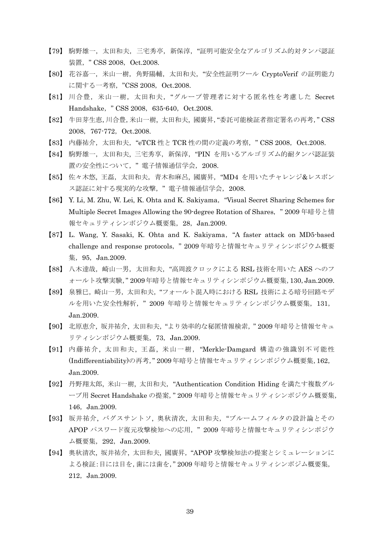- 【79】 駒野雄一,太田和夫,三宅秀亭,新保淳,"証明可能安全なアルゴリズム的対タンパ認証 装置, " CSS 2008, Oct.2008.
- 【80】 花谷嘉一,米山一樹,角野陽輔,太田和夫,"安全性証明ツール CryptoVerif の証明能力 に関する一考察, "CSS 2008, Oct.2008.
- 【81】 川合豊,米山一樹,太田和夫,"グループ管理者に対する匿名性を考慮した Secret Handshake, " CSS 2008, 635-640, Oct.2008.
- 【82】 牛田芽生恵,川合豊,米山一樹, 太田和夫, 國廣昇,"委託可能検証者指定署名の再考," CSS 2008, 767-772, Oct.2008.
- 【83】 内藤祐介,太田和夫, "eTCR 性と TCR 性の間の定義の考察, " CSS 2008, Oct.2008.
- 【84】 駒野雄一,太田和夫, 三宅秀享,新保淳,"PIN を用いるアルゴリズム的耐タンパ認証装 置の安全性について," 電子情報通信学会,2008.
- 【85】 佐々木悠, 王磊, 太田和夫, 青木和麻呂, 國廣昇, "MD4 を用いたチャレンジ&レスポン ス認証に対する現実的な攻撃," 電子情報通信学会,2008.
- 【86】 Y. Li, M. Zhu, W. Lei, K. Ohta and K. Sakiyama,"Visual Secret Sharing Schemes for Multiple Secret Images Allowing the 90-degree Rotation of Shares," 2009 年暗号と情 報セキュリティシンポジウム概要集,28,Jan.2009.
- 【87】 L. Wang, Y. Sasaki, K. Ohta and K. Sakiyama,"A faster attack on MD5-based challenge and response protocols," 2009 年暗号と情報セキュリティシンポジウム概要 集,95,Jan.2009.
- 【88】 八木達哉,崎山一男,太田和夫,"高周波クロックによる RSL 技術を用いた AES へのフ ォールト攻撃実験," 2009年暗号と情報セキュリティシンポジウム概要集,130,Jan.2009.
- 【89】 泉雅巳,崎山一男,太田和夫,"フォールト混入時における RSL 技術による暗号回路モデ ルを用いた安全性解析," 2009 年暗号と情報セキュリティシンポジウム概要集,131, Jan.2009.
- 【90】 北原恵介, 坂井祐介, 太田和夫,"より効率的な秘匿情報検索," 2009 年暗号と情報セキュ リティシンポジウム概要集,73,Jan.2009.
- 【91】 内藤祐介, 太田和夫, 王磊, 米山一樹,"Merkle-Damgard 構造の強識別不可能性 (Indifferentiability)の再考," 2009年暗号と情報セキュリティシンポジウム概要集,162, Jan.2009.
- 【92】 丹野翔太郎, 米山一樹, 太田和夫,"Authentication Condition Hiding を満たす複数グル ープ用 Secret Handshake の提案," 2009 年暗号と情報セキュリティシンポジウム概要集, 146, Jan.2009.
- 【93】 坂井祐介, バグスサントソ, 奥秋清次, 太田和夫,"ブルームフィルタの設計論とその APOP パスワード復元攻撃検知への応用, "2009年暗号と情報セキュリティシンポジウ ム概要集, 292, Jan.2009.
- 【94】 奥秋清次, 坂井祐介, 太田和夫, 國廣昇,"APOP 攻撃検知法の提案とシミュレーションに よる検証:目には目を,歯には歯を," 2009 年暗号と情報セキュリティシンポジム概要集, 212, Jan.2009.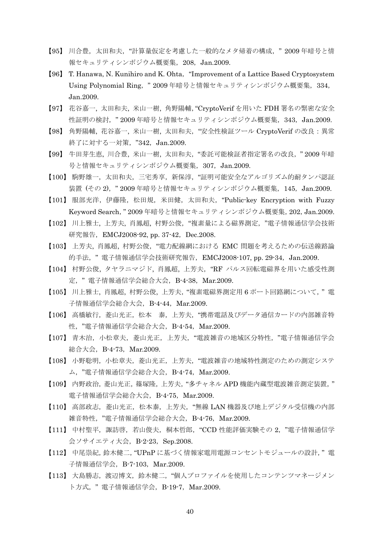- 【95】 川合豊,太田和夫,"計算量仮定を考慮した一般的なメタ帰着の構成," 2009 年暗号と情 報セキュリティシンポジウム概要集, 208, Jan.2009.
- 【96】 T. Hanawa, N. Kunihiro and K. Ohta,"Improvement of a Lattice Based Cryptosystem Using Polynomial Ring, "2009年暗号と情報セキュリティシンポジウム概要集, 334, Jan.2009.
- 【97】 花谷嘉一, 太田和夫, 米山一樹, 角野陽輔,"CryptoVerif を用いた FDH 署名の緊密な安全 性証明の検討, "2009年暗号と情報セキュリティシンポジウム概要集, 343, Jan.2009.
- 【98】 角野陽輔, 花谷嘉一, 米山一樹, 太田和夫,"安全性検証ツール CryptoVerif の改良:異常 終了に対する一対策, "342, Jan.2009.
- 【99】 牛田芽生恵, 川合豊, 米山一樹, 太田和夫,"委託可能検証者指定署名の改良," 2009 年暗 号と情報セキュリティシンポジウム概要集, 307, Jan.2009.
- 【100】 駒野雄一,太田和夫,三宅秀享,新保淳,"証明可能安全なアルゴリズム的耐タンパ認証 装置 (その 2), "2009 年暗号と情報セキュリティシンポジウム概要集, 145, Jan.2009.
- 【101】 服部充洋,伊藤隆,松田規,米田健,太田和夫,"Public-key Encryption with Fuzzy Keyword Search," 2009 年暗号と情報セキュリティシンポジウム概要集,202,Jan.2009.
- 【102】 川上雅士, 上芳夫, 肖鳳超, 村野公俊,"複素量による磁界測定,"電子情報通信学会技術 研究報告, EMCJ2008-92, pp. 37-42, Dec.2008.
- 【103】 上芳夫, 肖鳳超, 村野公俊,"電力配線網における EMC 問題を考えるための伝送線路論 的手法, "電子情報通信学会技術研究報告, EMCJ2008-107, pp. 29-34, Jan.2009.
- 【104】 村野公俊, タヤラニマジド, 肖鳳超, 上芳夫,"RF パルス回転電磁界を用いた感受性測 定," 電子情報通信学会総合大会,B-4-38,Mar.2009.
- 【105】 川上雅士, 肖鳳超, 村野公俊, 上芳夫,"複素電磁界測定用 6 ポート回路網について," 電 子情報通信学会総合大会,B-4-44,Mar.2009.
- 【106】 高橋敏行,菱山光正,松本 泰,上芳夫,"携帯電話及びデータ通信カードの内部雑音特 性,"電子情報通信学会総合大会,B-4-54,Mar.2009.
- 【107】 青木治,小松章夫,菱山光正,上芳夫,"電波雑音の地域区分特性,"電子情報通信学会 総合大会,B-4-73,Mar.2009.
- 【108】 小野聡明,小松章夫,菱山光正,上芳夫,"電波雑音の地域特性測定のための測定システ ム,"電子情報通信学会総合大会,B-4-74,Mar.2009.
- 【109】 内野政治,菱山光正,篠塚隆,上芳夫,"多チャネル APD 機能内蔵型電波雑音測定装置," 電子情報通信学会総合大会,B-4-75,Mar.2009.
- 【110】 高部政志,菱山光正,松本泰,上芳夫,"無線 LAN 機器及び地上デジタル受信機の内部 雑音特性,"電子情報通信学会総合大会,B-4-76,Mar.2009.
- 【111】 中村聖平, 諏訪啓, 若山俊夫, 桐本哲郎, "CCD 性能評価実験その 2, "電子情報通信学 会ソサイエティ大会, B-2-23, Sep.2008.
- 【112】 中尾崇紀,鈴木健二,"UPnP に基づく情報家電用電源コンセントモジュールの設計," 電 子情報通信学会, B-7-103, Mar.2009.
- 【113】 大島勝志,渡辺博文,鈴木健二,"個人プロファイルを使用したコンテンツマネージメン ト方式, "電子情報通信学会, B-19-7, Mar.2009.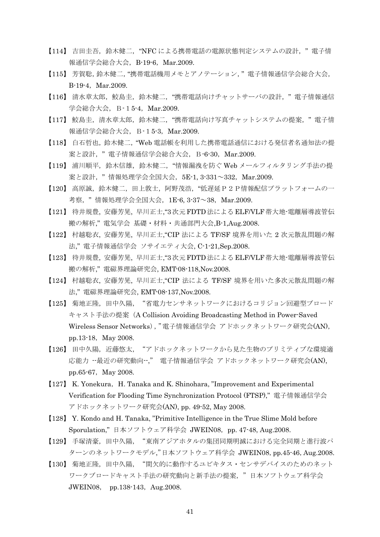- 【114】 吉田圭吾, 鈴木健二, "NFC による携帯電話の電源状態判定システムの設計, "電子情 報通信学会総合大会,B-19-6,Mar.2009.
- 【115】 芳賀聡,鈴木健二,"携帯電話機用メモとアノテーション," 電子情報通信学会総合大会, B-19-4, Mar.2009.
- 【116】 清水章太郎,鮫島圭,鈴木健二,"携帯電話向けチャットサーバの設計," 電子情報通信 学会総合大会, B-15-4, Mar.2009.
- 【117】 鮫島圭,清水章太郎,鈴木健二,"携帯電話向け写真チャットシステムの提案," 電子情 報通信学会総合大会,B-15-3,Mar.2009.
- 【118】 白石哲也,鈴木健二,"Web 電話帳を利用した携帯電話通信における発信者名通知法の提 案と設計, "電子情報通信学会総合大会, B-6-30, Mar.2009.
- 【119】 浦川順平,鈴木信雄,鈴木健二,"情報漏洩を防ぐ Web メールフィルタリング手法の提 案と設計, "情報処理学会全国大会, 5E-1, 3-331~332, Mar.2009.
- 【120】 高原誠,鈴木健二,田上敦士,阿野茂浩,"低遅延P2P情報配信プラットフォームの一 考察, "情報処理学会全国大会, 1E-6, 3-37~38, Mar.2009.
- 【121】 待井規豊, 安藤芳晃, 早川正士,"3次元FDTD法によるELF/VLF帯大地-電離層導波管伝 搬の解析," 電気学会 基礎・材料・共通部門大会,B-1,Aug.2008.
- 【122】 村越聡衣, 安藤芳晃, 早川正士,"CIP 法による TF/SF 境界を用いた 2 次元散乱問題の解 法," 電子情報通信学会 ソサイエティ大会, C-1-21,Sep.2008.
- 【123】 待井規豊, 安藤芳晃, 早川正士,"3次元FDTD法によるELF/VLF帯大地-電離層導波管伝 搬の解析," 電磁界理論研究会, EMT-08-118,Nov.2008.
- 【124】 村越聡衣, 安藤芳晃, 早川正士,"CIP 法による TF/SF 境界を用いた多次元散乱問題の解 法," 電磁界理論研究会, EMT-08-137,Nov.2008.
- 【125】 菊地正隆,田中久陽,"省電力センサネットワークにおけるコリジョン回避型ブロード キャスト手法の提案(A Collision Avoiding Broadcasting Method in Power-Saved Wireless Sensor Networks),"電子情報通信学会 アドホックネットワーク研究会(AN), pp.13-18, May 2008.
- 【126】 田中久陽,近藤悠太,"アドホックネットワークから見た生物のプリミティブな環境適 応能力 --最近の研究動向--," 電子情報通信学会 アドホックネットワーク研究会(AN), pp.65-67, May 2008.
- [127] K. Yonekura, H. Tanaka and K. Shinohara, "Improvement and Experimental Verification for Flooding Time Synchronization Protocol (FTSP)," 電子情報通信学会 アドホックネットワーク研究会(AN), pp. 49-52, May 2008.
- 【128】 Y. Kondo and H. Tanaka, "Primitive Intelligence in the True Slime Mold before Sporulation,"日本ソフトウェア科学会 JWEIN08, pp. 47-48, Aug.2008.
- 【129】 手塚清豪,田中久陽,"東南アジアホタルの集団同期明滅における完全同期と進行波パ ターンのネットワークモデル,"日本ソフトウェア科学会 JWEIN08,pp.45-46,Aug.2008.
- 【130】 菊地正隆,田中久陽,"間欠的に動作するユビキタス・センサデバイスのためのネット ワークブロードキャスト手法の研究動向と新手法の提案,"日本ソフトウェア科学会 JWEIN08, pp.138-143, Aug.2008.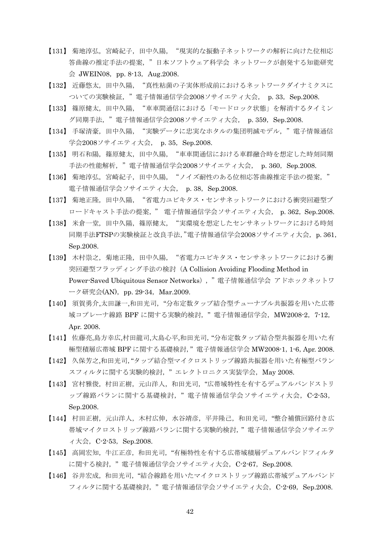- 【131】 菊地淳弘,宮崎紀子,田中久陽,"現実的な振動子ネットワークの解析に向けた位相応 答曲線の推定手法の提案,"日本ソフトウェア科学会 ネットワークが創発する知能研究  $\triangleq$  JWEIN08, pp. 8-13, Aug.2008.
- 【132】 近藤悠太,田中久陽,"真性粘菌の子実体形成前におけるネットワークダイナミクスに ついての実験検証, "電子情報通信学会2008ソサイエティ大会, p. 33, Sep.2008.
- 【133】 篠原健太,田中久陽,"車車間通信における「モードロック状態」を解消するタイミン グ同期手法, "電子情報通信学会2008ソサイエティ大会, p. 359, Sep.2008.
- 【134】 手塚清豪,田中久陽,"実験データに忠実なホタルの集団明滅モデル,"電子情報通信 学会2008ソサイエティ大会, p. 35, Sep.2008.
- 【135】 明石和陽,篠原健太,田中久陽,"車車間通信における車群融合時を想定した時刻同期 手法の性能解析, "電子情報通信学会2008ソサイエティ大会, p. 360, Sep.2008.
- 【136】 菊地淳弘,宮崎紀子,田中久陽,"ノイズ耐性のある位相応答曲線推定手法の提案," 電子情報通信学会ソサイエティ大会, p. 38, Sep.2008.
- 【137】 菊地正隆,田中久陽,"省電力ユビキタス・センサネットワークにおける衝突回避型ブ ロードキャスト手法の提案, " 電子情報通信学会ソサイエティ大会, p.362,Sep.2008.
- 【138】 米倉一堂,田中久陽,篠原健太,"実環境を想定したセンサネットワークにおける時刻 同期手法FTSPの実験検証と改良手法,"電子情報通信学会2008ソサイエティ大会, p. 361, Sep.2008.
- 【139】 木村崇之,菊地正隆,田中久陽,"省電力ユビキタス・センサネットワークにおける衝 突回避型フラッディング手法の検討(A Collision Avoiding Flooding Method in Power-Saved Ubiquitous Sensor Networks),"電子情報通信学会 アドホックネットワ ーク研究会(AN), pp. 29-34, Mar.2009.
- 【140】 須賀勇介,太田謙一,和田光司,"分布定数タップ結合型チューナブル共振器を用いた広帯 域コプレーナ線路 BPF に関する実験的検討," 電子情報通信学会,MW2008-2,7-12, Apr. 2008.
- 【141】 佐藤亮,島方幸広,村田龍司,大島心平,和田光司,"分布定数タップ結合型共振器を用いた有 極型積層広帯域 BPF に関する基礎検討," 電子情報通信学会 MW2008-1,1-6,Apr. 2008.
- 【142】 久保芳之,和田光司,"タップ結合型マイクロストリップ線路共振器を用いた有極型バラン スフィルタに関する実験的検討, "エレクトロニクス実装学会, May 2008.
- 【143】 宮村雅俊,村田正樹,元山洋人,和田光司,"広帯域特性を有するデュアルバンドストリ ップ線路バランに関する基礎検討, "電子情報通信学会ソサイエティ大会, C-2-53, Sep.2008.
- 【144】 村田正樹,元山洋人,木村広伸,水谷靖彦,平井隆己,和田光司,"整合補償回路付き広 帯域マイクロストリップ線路バランに関する実験的検討," 電子情報通信学会ソサイエテ  $\prec$  大会, C-2-53, Sep.2008.
- 【145】 高岡宏知,牛江正彦,和田光司,"有極特性を有する広帯域積層デュアルバンドフィルタ に関する検討, "電子情報通信学会ソサイエティ大会, C-2-67, Sep.2008.
- 【146】 谷井宏成,和田光司,"結合線路を用いたマイクロストリップ線路広帯域デュアルバンド フィルタに関する基礎検討, "電子情報通信学会ソサイエティ大会, C-2-69, Sep.2008.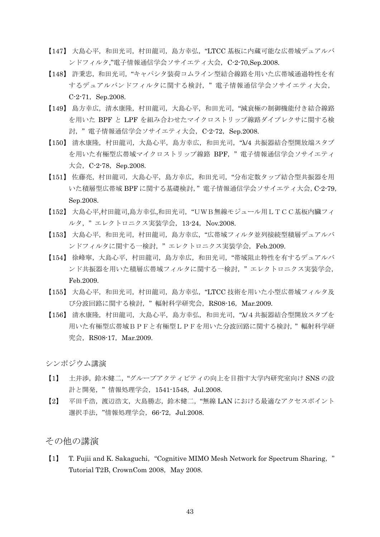- 【147】 大島心平,和田光司,村田龍司,島方幸弘,"LTCC 基板に内蔵可能な広帯域デュアルバ ンドフィルタ,"電子情報通信学会ソサイエティ大会, C-2-70,Sep.2008.
- 【148】 許秉忠,和田光司,"キャパシタ装荷コムライン型結合線路を用いた広帯域通過特性を有 するデュアルバンドフィルタに関する検討," 電子情報通信学会ソサイエティ大会, C-2-71, Sep.2008.
- 【149】 島方幸広,清水康隆,村田龍司,大島心平,和田光司,"減衰極の制御機能付き結合線路 を用いた BPF と LPF を組み合わせたマイクロストリップ線路ダイプレクサに関する検 討, "電子情報通信学会ソサイエティ大会, C-2-72, Sep.2008.
- 【150】 清水康隆,村田龍司,大島心平,島方幸広,和田光司,"λ/4 共振器結合型開放端スタブ を用いた有極型広帯域マイクロストリップ線路 BPF, "電子情報通信学会ソサイエティ 大会,  $C-2-78$ , Sep.2008.
- 【151】 佐藤亮,村田龍司,大島心平,島方幸広,和田光司,"分布定数タップ結合型共振器を用 いた積層型広帯域 BPF に関する基礎検討," 電子情報通信学会ソサイエティ大会,C-2-79, Sep.2008.
- 【152】 大島心平,村田龍司,島方幸弘,和田光司,"UWB無線モジュール用LTCC基板内臓フィ ルタ, "エレクトロニクス実装学会, 13-24, Nov.2008.
- 【153】 大島心平,和田光司,村田龍司,島方幸広,"広帯域フィルタ並列接続型積層デュアルバ ンドフィルタに関する一検討, "エレクトロニクス実装学会, Feb.2009.
- 【154】 徐峰寧,大島心平,村田龍司,島方幸広,和田光司,"帯域阻止特性を有するデュアルバ ンド共振器を用いた積層広帯域フィルタに関する一検討," エレクトロニクス実装学会, Feb.2009.
- 【155】 大島心平,和田光司,村田龍司,島方幸弘,"LTCC 技術を用いた小型広帯域フィルタ及 び分波回路に関する検討," 輻射科学研究会,RS08-16,Mar.2009.
- 【156】 清水康隆,村田龍司,大島心平,島方幸弘,和田光司,"λ/4共振器結合型開放スタブを 用いた有極型広帯域BPFと有極型LPFを用いた分波回路に関する検討," 輻射科学研 究会, RS08-17, Mar.2009.

シンポジウム講演

- 【1】 土井渉,鈴木健二,"グループアクティビティの向上を目指す大学内研究室向け SNS の設 計と開発, "情報処理学会, 1541-1548, Jul.2008.
- 【2】 平田千浩,渡辺浩文,大島勝志,鈴木健二,"無線 LAN における最適なアクセスポイント 選択手法, "情報処理学会, 66-72, Jul.2008.

## その他の講演

【1】 T. Fujii and K. Sakaguchi,"Cognitive MIMO Mesh Network for Spectrum Sharing," Tutorial T2B, CrownCom 2008, May 2008.